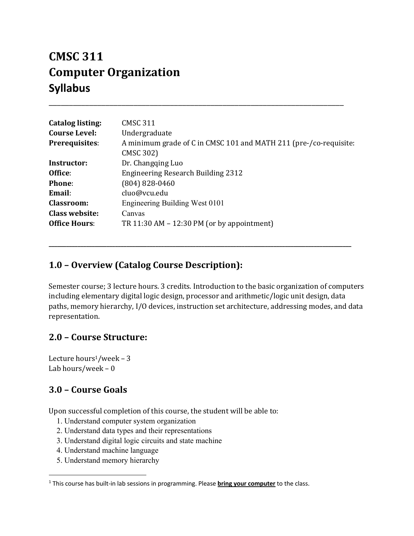# **CMSC 311 Computer Organization Syllabus**

| <b>Catalog listing:</b> | <b>CMSC 311</b>                                                   |  |
|-------------------------|-------------------------------------------------------------------|--|
| <b>Course Level:</b>    | Undergraduate                                                     |  |
| <b>Prerequisites:</b>   | A minimum grade of C in CMSC 101 and MATH 211 (pre-/co-requisite: |  |
|                         | <b>CMSC 302)</b>                                                  |  |
| Instructor:             | Dr. Changqing Luo                                                 |  |
| Office:                 | Engineering Research Building 2312                                |  |
| Phone:                  | $(804) 828 - 0460$                                                |  |
| Email:                  | cluo@vcu.edu                                                      |  |
| <b>Classroom:</b>       | Engineering Building West 0101                                    |  |
| <b>Class website:</b>   | Canvas                                                            |  |
| <b>Office Hours:</b>    | TR 11:30 AM $-$ 12:30 PM (or by appointment)                      |  |

**\_\_\_\_\_\_\_\_\_\_\_\_\_\_\_\_\_\_\_\_\_\_\_\_\_\_\_\_\_\_\_\_\_\_\_\_\_\_\_\_\_\_\_\_\_\_\_\_\_\_\_\_\_\_\_\_\_\_\_\_\_\_\_\_\_\_\_\_\_\_\_\_\_\_\_\_\_\_\_\_\_\_\_\_\_\_\_\_\_\_\_\_\_\_\_\_\_\_\_\_\_\_\_\_\_**

\_\_\_\_\_\_\_\_\_\_\_\_\_\_\_\_\_\_\_\_\_\_\_\_\_\_\_\_\_\_\_\_\_\_\_\_\_\_\_\_\_\_\_\_\_\_\_\_\_\_\_\_\_\_\_\_\_\_\_\_\_\_\_\_\_\_\_\_\_\_\_\_\_

# 1.0 - Overview (Catalog Course Description):

Semester course; 3 lecture hours. 3 credits. Introduction to the basic organization of computers including elementary digital logic design, processor and arithmetic/logic unit design, data paths, memory hierarchy, I/O devices, instruction set architecture, addressing modes, and data representation. 

# **2.0 – Course Structure:**

Lecture hours<sup>1</sup>/week - 3 Lab hours/week  $-0$ 

# **3.0 – Course Goals**

Upon successful completion of this course, the student will be able to:

- 1. Understand computer system organization
- 2. Understand data types and their representations
- 3. Understand digital logic circuits and state machine
- 4. Understand machine language
- 5. Understand memory hierarchy

<sup>1</sup> This course has built-in lab sessions in programming. Please **bring your computer** to the class.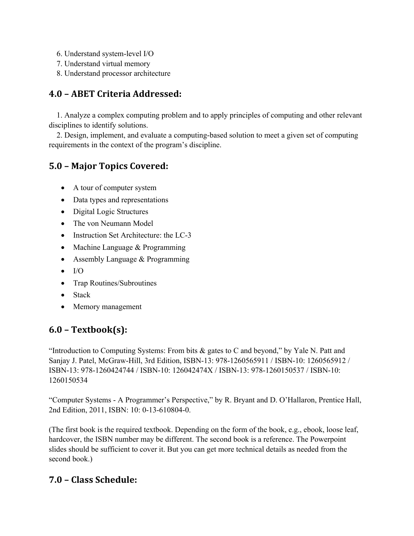- 6. Understand system-level I/O
- 7. Understand virtual memory
- 8. Understand processor architecture

# **4.0 – ABET Criteria Addressed:**

 1. Analyze a complex computing problem and to apply principles of computing and other relevant disciplines to identify solutions.

 2. Design, implement, and evaluate a computing-based solution to meet a given set of computing requirements in the context of the program's discipline.

# **5.0 – Major Topics Covered:**

- A tour of computer system
- Data types and representations
- Digital Logic Structures
- The von Neumann Model
- Instruction Set Architecture: the LC-3
- Machine Language & Programming
- Assembly Language & Programming
- $\bullet$  I/O
- Trap Routines/Subroutines
- Stack
- Memory management

# **6.0 – Textbook(s):**

"Introduction to Computing Systems: From bits & gates to C and beyond," by Yale N. Patt and Sanjay J. Patel, McGraw-Hill, 3rd Edition, ISBN-13: 978-1260565911 / ISBN-10: 1260565912 / ISBN-13: 978-1260424744 / ISBN-10: 126042474X / ISBN-13: 978-1260150537 / ISBN-10: 1260150534

"Computer Systems - A Programmer's Perspective," by R. Bryant and D. O'Hallaron, Prentice Hall, 2nd Edition, 2011, ISBN: 10: 0-13-610804-0.

(The first book is the required textbook. Depending on the form of the book, e.g., ebook, loose leaf, hardcover, the ISBN number may be different. The second book is a reference. The Powerpoint slides should be sufficient to cover it. But you can get more technical details as needed from the second book.)

# **7.0 – Class Schedule:**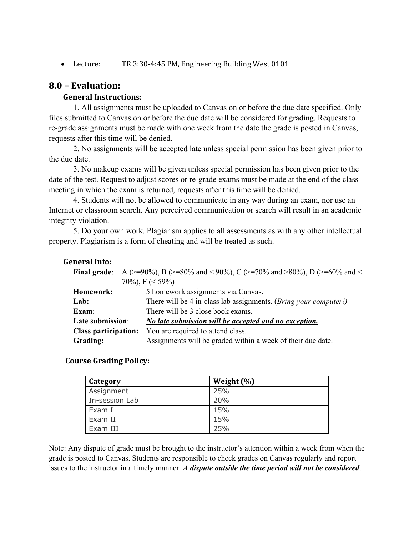• Lecture: TR 3:30-4:45 PM, Engineering Building West 0101

### **8.0 – Evaluation:**

### **General Instructions:**

1. All assignments must be uploaded to Canvas on or before the due date specified. Only files submitted to Canvas on or before the due date will be considered for grading. Requests to re-grade assignments must be made with one week from the date the grade is posted in Canvas, requests after this time will be denied.

2. No assignments will be accepted late unless special permission has been given prior to the due date.

3. No makeup exams will be given unless special permission has been given prior to the date of the test. Request to adjust scores or re-grade exams must be made at the end of the class meeting in which the exam is returned, requests after this time will be denied.

4. Students will not be allowed to communicate in any way during an exam, nor use an Internet or classroom search. Any perceived communication or search will result in an academic integrity violation.

5. Do your own work. Plagiarism applies to all assessments as with any other intellectual property. Plagiarism is a form of cheating and will be treated as such.

### General Info:

| <b>Final grade:</b>         | A (>=90%), B (>=80% and < 90%), C (>=70% and >80%), D (>=60% and <        |  |
|-----------------------------|---------------------------------------------------------------------------|--|
|                             | 70%), $F \leq 59\%$                                                       |  |
| Homework:                   | 5 homework assignments via Canvas.                                        |  |
| Lab:                        | There will be 4 in-class lab assignments. ( <i>Bring your computer!</i> ) |  |
| Exam:                       | There will be 3 close book exams.                                         |  |
| Late submission:            | No late submission will be accepted and no exception.                     |  |
| <b>Class participation:</b> | You are required to attend class.                                         |  |
| <b>Grading:</b>             | Assignments will be graded within a week of their due date.               |  |

### **Course Grading Policy:**

| Category       | Weight $(\%)$ |
|----------------|---------------|
| Assignment     | 25%           |
| In-session Lab | 20%           |
| Exam I         | 15%           |
| Exam II        | 15%           |
| Exam III       | 25%           |

Note: Any dispute of grade must be brought to the instructor's attention within a week from when the grade is posted to Canvas. Students are responsible to check grades on Canvas regularly and report issues to the instructor in a timely manner. *A dispute outside the time period will not be considered*.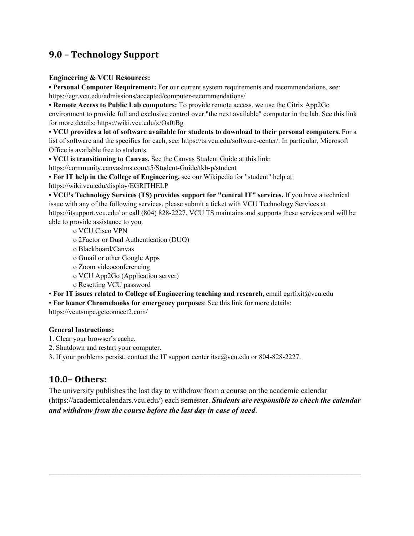# **9.0 – Technology Support**

### **Engineering & VCU Resources:**

**• Personal Computer Requirement:** For our current system requirements and recommendations, see: https://egr.vcu.edu/admissions/accepted/computer-recommendations/

**• Remote Access to Public Lab computers:** To provide remote access, we use the Citrix App2Go environment to provide full and exclusive control over "the next available" computer in the lab. See this link for more details: https://wiki.vcu.edu/x/Oa0tBg

**• VCU provides a lot of software available for students to download to their personal computers.** For a list of software and the specifics for each, see: https://ts.vcu.edu/software-center/. In particular, Microsoft Office is available free to students.

**• VCU is transitioning to Canvas.** See the Canvas Student Guide at this link:

https://community.canvaslms.com/t5/Student-Guide/tkb-p/student

**• For IT help in the College of Engineering,** see our Wikipedia for "student" help at:

https://wiki.vcu.edu/display/EGRITHELP

**• VCU's Technology Services (TS) provides support for "central IT" services.** If you have a technical issue with any of the following services, please submit a ticket with VCU Technology Services at https://itsupport.vcu.edu/ or call (804) 828-2227. VCU TS maintains and supports these services and will be able to provide assistance to you.

o VCU Cisco VPN o 2Factor or Dual Authentication (DUO) o Blackboard/Canvas o Gmail or other Google Apps o Zoom videoconferencing o VCU App2Go (Application server) o Resetting VCU password • **For IT issues related to College of Engineering teaching and research**, email egrfixit@vcu.edu

• **For loaner Chromebooks for emergency purposes**: See this link for more details:

https://vcutsmpc.getconnect2.com/

### **General Instructions:**

- 1. Clear your browser's cache.
- 2. Shutdown and restart your computer.

3. If your problems persist, contact the IT support center itsc@vcu.edu or 804-828-2227.

# **10.0– Others:**

The university publishes the last day to withdraw from a course on the academic calendar (https://academiccalendars.vcu.edu/) each semester. *Students are responsible to check the calendar and withdraw from the course before the last day in case of need*.

 $\_$  , and the contribution of the contribution of  $\mathcal{L}_\mathcal{A}$  , and the contribution of  $\mathcal{L}_\mathcal{A}$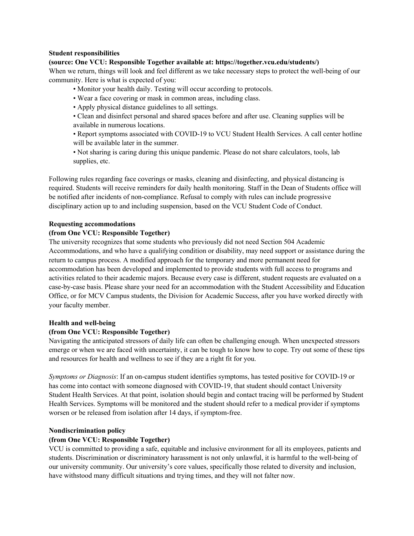#### **Student responsibilities**

#### **(source: One VCU: Responsible Together available at: https://together.vcu.edu/students/)**

When we return, things will look and feel different as we take necessary steps to protect the well-being of our community. Here is what is expected of you:

- Monitor your health daily. Testing will occur according to protocols.
- Wear a face covering or mask in common areas, including class.
- Apply physical distance guidelines to all settings.
- Clean and disinfect personal and shared spaces before and after use. Cleaning supplies will be available in numerous locations.

• Report symptoms associated with COVID-19 to VCU Student Health Services. A call center hotline will be available later in the summer.

• Not sharing is caring during this unique pandemic. Please do not share calculators, tools, lab supplies, etc.

Following rules regarding face coverings or masks, cleaning and disinfecting, and physical distancing is required. Students will receive reminders for daily health monitoring. Staff in the Dean of Students office will be notified after incidents of non-compliance. Refusal to comply with rules can include progressive disciplinary action up to and including suspension, based on the VCU Student Code of Conduct.

#### **Requesting accommodations**

#### **(from One VCU: Responsible Together)**

The university recognizes that some students who previously did not need Section 504 Academic Accommodations, and who have a qualifying condition or disability, may need support or assistance during the return to campus process. A modified approach for the temporary and more permanent need for accommodation has been developed and implemented to provide students with full access to programs and activities related to their academic majors. Because every case is different, student requests are evaluated on a case-by-case basis. Please share your need for an accommodation with the Student Accessibility and Education Office, or for MCV Campus students, the Division for Academic Success, after you have worked directly with your faculty member.

#### **Health and well-being**

#### **(from One VCU: Responsible Together)**

Navigating the anticipated stressors of daily life can often be challenging enough. When unexpected stressors emerge or when we are faced with uncertainty, it can be tough to know how to cope. Try out some of these tips and resources for health and wellness to see if they are a right fit for you.

*Symptoms or Diagnosis*: If an on-campus student identifies symptoms, has tested positive for COVID-19 or has come into contact with someone diagnosed with COVID-19, that student should contact University Student Health Services. At that point, isolation should begin and contact tracing will be performed by Student Health Services. Symptoms will be monitored and the student should refer to a medical provider if symptoms worsen or be released from isolation after 14 days, if symptom-free.

#### **Nondiscrimination policy**

#### **(from One VCU: Responsible Together)**

VCU is committed to providing a safe, equitable and inclusive environment for all its employees, patients and students. Discrimination or discriminatory harassment is not only unlawful, it is harmful to the well-being of our university community. Our university's core values, specifically those related to diversity and inclusion, have withstood many difficult situations and trying times, and they will not falter now.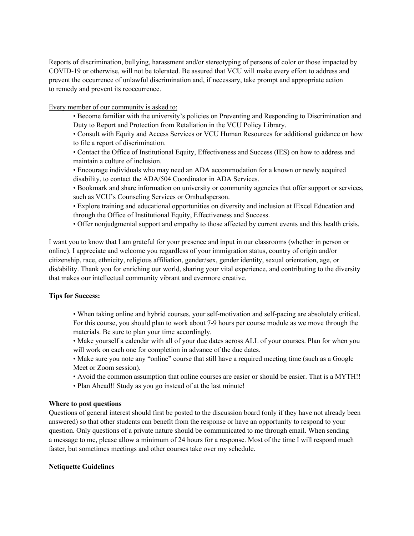Reports of discrimination, bullying, harassment and/or stereotyping of persons of color or those impacted by COVID-19 or otherwise, will not be tolerated. Be assured that VCU will make every effort to address and prevent the occurrence of unlawful discrimination and, if necessary, take prompt and appropriate action to remedy and prevent its reoccurrence.

Every member of our community is asked to:

- Become familiar with the university's policies on Preventing and Responding to Discrimination and Duty to Report and Protection from Retaliation in the VCU Policy Library.
- Consult with Equity and Access Services or VCU Human Resources for additional guidance on how to file a report of discrimination.
- Contact the Office of Institutional Equity, Effectiveness and Success (IES) on how to address and maintain a culture of inclusion.
- Encourage individuals who may need an ADA accommodation for a known or newly acquired disability, to contact the ADA/504 Coordinator in ADA Services.
- Bookmark and share information on university or community agencies that offer support or services, such as VCU's Counseling Services or Ombudsperson.
- Explore training and educational opportunities on diversity and inclusion at IExcel Education and through the Office of Institutional Equity, Effectiveness and Success.
- Offer nonjudgmental support and empathy to those affected by current events and this health crisis.

I want you to know that I am grateful for your presence and input in our classrooms (whether in person or online). I appreciate and welcome you regardless of your immigration status, country of origin and/or citizenship, race, ethnicity, religious affiliation, gender/sex, gender identity, sexual orientation, age, or dis/ability. Thank you for enriching our world, sharing your vital experience, and contributing to the diversity that makes our intellectual community vibrant and evermore creative.

#### **Tips for Success:**

- When taking online and hybrid courses, your self-motivation and self-pacing are absolutely critical. For this course, you should plan to work about 7-9 hours per course module as we move through the materials. Be sure to plan your time accordingly.
- Make yourself a calendar with all of your due dates across ALL of your courses. Plan for when you will work on each one for completion in advance of the due dates.
- Make sure you note any "online" course that still have a required meeting time (such as a Google Meet or Zoom session).
- Avoid the common assumption that online courses are easier or should be easier. That is a MYTH!!
- Plan Ahead!! Study as you go instead of at the last minute!

#### **Where to post questions**

Questions of general interest should first be posted to the discussion board (only if they have not already been answered) so that other students can benefit from the response or have an opportunity to respond to your question. Only questions of a private nature should be communicated to me through email. When sending a message to me, please allow a minimum of 24 hours for a response. Most of the time I will respond much faster, but sometimes meetings and other courses take over my schedule.

#### **Netiquette Guidelines**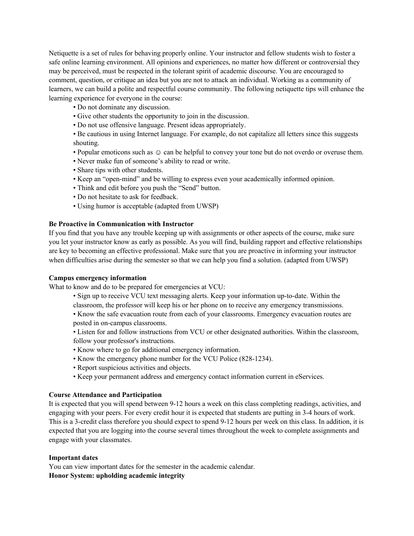Netiquette is a set of rules for behaving properly online. Your instructor and fellow students wish to foster a safe online learning environment. All opinions and experiences, no matter how different or controversial they may be perceived, must be respected in the tolerant spirit of academic discourse. You are encouraged to comment, question, or critique an idea but you are not to attack an individual. Working as a community of learners, we can build a polite and respectful course community. The following netiquette tips will enhance the learning experience for everyone in the course:

• Do not dominate any discussion.

- Give other students the opportunity to join in the discussion.
- Do not use offensive language. Present ideas appropriately.

• Be cautious in using Internet language. For example, do not capitalize all letters since this suggests shouting.

- Popular emoticons such as  $\odot$  can be helpful to convey your tone but do not overdo or overuse them.
- Never make fun of someone's ability to read or write.
- Share tips with other students.
- Keep an "open-mind" and be willing to express even your academically informed opinion.
- Think and edit before you push the "Send" button.
- Do not hesitate to ask for feedback.
- Using humor is acceptable (adapted from UWSP)

#### **Be Proactive in Communication with Instructor**

If you find that you have any trouble keeping up with assignments or other aspects of the course, make sure you let your instructor know as early as possible. As you will find, building rapport and effective relationships are key to becoming an effective professional. Make sure that you are proactive in informing your instructor when difficulties arise during the semester so that we can help you find a solution. (adapted from UWSP)

#### **Campus emergency information**

What to know and do to be prepared for emergencies at VCU:

- Sign up to receive VCU text messaging alerts. Keep your information up-to-date. Within the classroom, the professor will keep his or her phone on to receive any emergency transmissions.
- Know the safe evacuation route from each of your classrooms. Emergency evacuation routes are posted in on-campus classrooms.
- Listen for and follow instructions from VCU or other designated authorities. Within the classroom, follow your professor's instructions.
- Know where to go for additional emergency information.
- Know the emergency phone number for the VCU Police (828-1234).
- Report suspicious activities and objects.
- Keep your permanent address and emergency contact information current in eServices.

#### **Course Attendance and Participation**

It is expected that you will spend between 9-12 hours a week on this class completing readings, activities, and engaging with your peers. For every credit hour it is expected that students are putting in 3-4 hours of work. This is a 3-credit class therefore you should expect to spend 9-12 hours per week on this class. In addition, it is expected that you are logging into the course several times throughout the week to complete assignments and engage with your classmates.

#### **Important dates**

You can view important dates for the semester in the academic calendar. **Honor System: upholding academic integrity**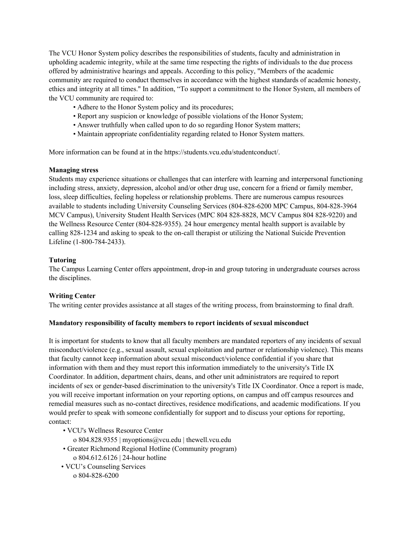The VCU Honor System policy describes the responsibilities of students, faculty and administration in upholding academic integrity, while at the same time respecting the rights of individuals to the due process offered by administrative hearings and appeals. According to this policy, "Members of the academic community are required to conduct themselves in accordance with the highest standards of academic honesty, ethics and integrity at all times." In addition, "To support a commitment to the Honor System, all members of the VCU community are required to:

- Adhere to the Honor System policy and its procedures;
- Report any suspicion or knowledge of possible violations of the Honor System;
- Answer truthfully when called upon to do so regarding Honor System matters;
- Maintain appropriate confidentiality regarding related to Honor System matters.

More information can be found at in the https://students.vcu.edu/studentconduct/.

#### **Managing stress**

Students may experience situations or challenges that can interfere with learning and interpersonal functioning including stress, anxiety, depression, alcohol and/or other drug use, concern for a friend or family member, loss, sleep difficulties, feeling hopeless or relationship problems. There are numerous campus resources available to students including University Counseling Services (804-828-6200 MPC Campus, 804-828-3964 MCV Campus), University Student Health Services (MPC 804 828-8828, MCV Campus 804 828-9220) and the Wellness Resource Center (804-828-9355). 24 hour emergency mental health support is available by calling 828-1234 and asking to speak to the on-call therapist or utilizing the National Suicide Prevention Lifeline (1-800-784-2433).

#### **Tutoring**

The Campus Learning Center offers appointment, drop-in and group tutoring in undergraduate courses across the disciplines.

#### **Writing Center**

The writing center provides assistance at all stages of the writing process, from brainstorming to final draft.

#### **Mandatory responsibility of faculty members to report incidents of sexual misconduct**

It is important for students to know that all faculty members are mandated reporters of any incidents of sexual misconduct/violence (e.g., sexual assault, sexual exploitation and partner or relationship violence). This means that faculty cannot keep information about sexual misconduct/violence confidential if you share that information with them and they must report this information immediately to the university's Title IX Coordinator. In addition, department chairs, deans, and other unit administrators are required to report incidents of sex or gender-based discrimination to the university's Title IX Coordinator. Once a report is made, you will receive important information on your reporting options, on campus and off campus resources and remedial measures such as no-contact directives, residence modifications, and academic modifications. If you would prefer to speak with someone confidentially for support and to discuss your options for reporting, contact:

- VCU's Wellness Resource Center
	- o 804.828.9355 | myoptions@vcu.edu | thewell.vcu.edu
- Greater Richmond Regional Hotline (Community program) o 804.612.6126 | 24-hour hotline
- VCU's Counseling Services
	- o 804-828-6200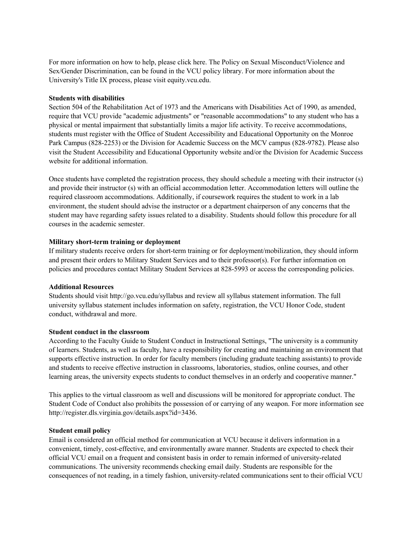For more information on how to help, please click here. The Policy on Sexual Misconduct/Violence and Sex/Gender Discrimination, can be found in the VCU policy library. For more information about the University's Title IX process, please visit equity.vcu.edu.

#### **Students with disabilities**

Section 504 of the Rehabilitation Act of 1973 and the Americans with Disabilities Act of 1990, as amended, require that VCU provide "academic adjustments" or "reasonable accommodations" to any student who has a physical or mental impairment that substantially limits a major life activity. To receive accommodations, students must register with the Office of Student Accessibility and Educational Opportunity on the Monroe Park Campus (828-2253) or the Division for Academic Success on the MCV campus (828-9782). Please also visit the Student Accessibility and Educational Opportunity website and/or the Division for Academic Success website for additional information.

Once students have completed the registration process, they should schedule a meeting with their instructor (s) and provide their instructor (s) with an official accommodation letter. Accommodation letters will outline the required classroom accommodations. Additionally, if coursework requires the student to work in a lab environment, the student should advise the instructor or a department chairperson of any concerns that the student may have regarding safety issues related to a disability. Students should follow this procedure for all courses in the academic semester.

#### **Military short-term training or deployment**

If military students receive orders for short-term training or for deployment/mobilization, they should inform and present their orders to Military Student Services and to their professor(s). For further information on policies and procedures contact Military Student Services at 828-5993 or access the corresponding policies.

#### **Additional Resources**

Students should visit http://go.vcu.edu/syllabus and review all syllabus statement information. The full university syllabus statement includes information on safety, registration, the VCU Honor Code, student conduct, withdrawal and more.

#### **Student conduct in the classroom**

According to the Faculty Guide to Student Conduct in Instructional Settings, "The university is a community of learners. Students, as well as faculty, have a responsibility for creating and maintaining an environment that supports effective instruction. In order for faculty members (including graduate teaching assistants) to provide and students to receive effective instruction in classrooms, laboratories, studios, online courses, and other learning areas, the university expects students to conduct themselves in an orderly and cooperative manner."

This applies to the virtual classroom as well and discussions will be monitored for appropriate conduct. The Student Code of Conduct also prohibits the possession of or carrying of any weapon. For more information see http://register.dls.virginia.gov/details.aspx?id=3436.

#### **Student email policy**

Email is considered an official method for communication at VCU because it delivers information in a convenient, timely, cost-effective, and environmentally aware manner. Students are expected to check their official VCU email on a frequent and consistent basis in order to remain informed of university-related communications. The university recommends checking email daily. Students are responsible for the consequences of not reading, in a timely fashion, university-related communications sent to their official VCU